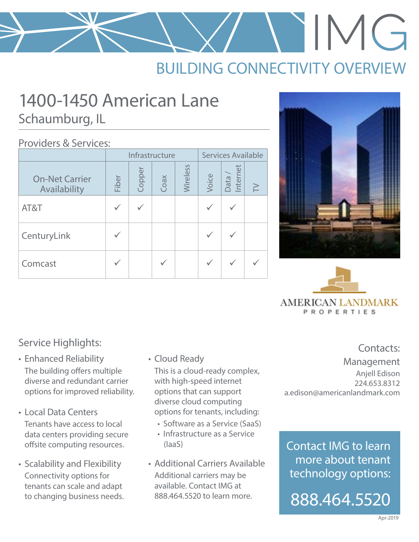# $IMG$

# BUILDING CONNECTIVITY OVERVIEW

# 1400-1450 American Lane Schaumburg, IL

#### Providers & Services:

|                                       | Infrastructure |        |      |          | Services Available |                    |        |
|---------------------------------------|----------------|--------|------|----------|--------------------|--------------------|--------|
| <b>On-Net Carrier</b><br>Availability | Fiber          | Copper | Coax | Wireless | Voice              | Data /<br>Internet | $\geq$ |
| AT&T                                  |                |        |      |          |                    |                    |        |
| CenturyLink                           |                |        |      |          |                    |                    |        |
| Comcast                               |                |        |      |          |                    |                    |        |





### Service Highlights: Service Highlights:

- Enhanced Reliability The building offers multiple diverse and redundant carrier options for improved reliability.
- Local Data Centers Tenants have access to local data centers providing secure offsite computing resources.
- Scalability and Flexibility Connectivity options for tenants can scale and adapt to changing business needs.

• Cloud Ready

This is a cloud-ready complex, with high-speed internet options that can support diverse cloud computing options for tenants, including:

- Software as a Service (SaaS)
- Infrastructure as a Service (IaaS)
- Additional Carriers Available Additional carriers may be available. Contact IMG at 888.464.5520 to learn more.

Management Anjell Edison 224.653.8312 a.edison@americanlandmark.com

Contact IMG to learn more about tenant technology options: